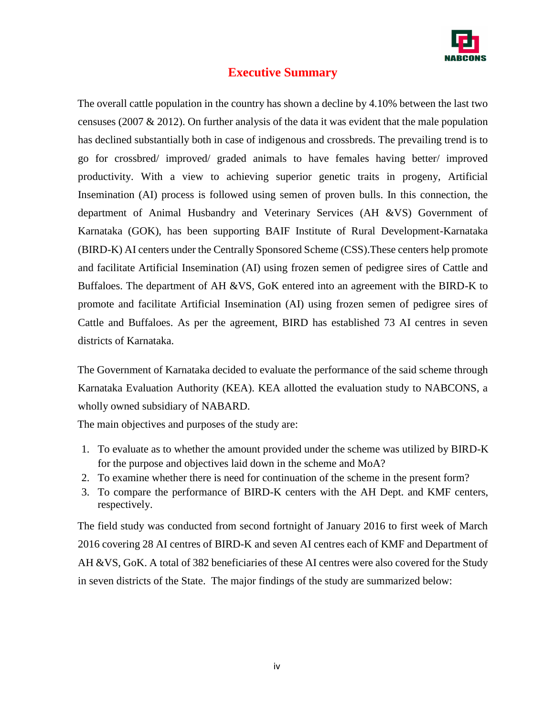

# **Executive Summary**

The overall cattle population in the country has shown a decline by 4.10% between the last two censuses (2007 & 2012). On further analysis of the data it was evident that the male population has declined substantially both in case of indigenous and crossbreds. The prevailing trend is to go for crossbred/ improved/ graded animals to have females having better/ improved productivity. With a view to achieving superior genetic traits in progeny, Artificial Insemination (AI) process is followed using semen of proven bulls. In this connection, the department of Animal Husbandry and Veterinary Services (AH &VS) Government of Karnataka (GOK), has been supporting BAIF Institute of Rural Development-Karnataka (BIRD-K) AI centers under the Centrally Sponsored Scheme (CSS).These centers help promote and facilitate Artificial Insemination (AI) using frozen semen of pedigree sires of Cattle and Buffaloes. The department of AH &VS, GoK entered into an agreement with the BIRD-K to promote and facilitate Artificial Insemination (AI) using frozen semen of pedigree sires of Cattle and Buffaloes. As per the agreement, BIRD has established 73 AI centres in seven districts of Karnataka.

The Government of Karnataka decided to evaluate the performance of the said scheme through Karnataka Evaluation Authority (KEA). KEA allotted the evaluation study to NABCONS, a wholly owned subsidiary of NABARD.

The main objectives and purposes of the study are:

- 1. To evaluate as to whether the amount provided under the scheme was utilized by BIRD-K for the purpose and objectives laid down in the scheme and MoA?
- 2. To examine whether there is need for continuation of the scheme in the present form?
- 3. To compare the performance of BIRD-K centers with the AH Dept. and KMF centers, respectively.

The field study was conducted from second fortnight of January 2016 to first week of March 2016 covering 28 AI centres of BIRD-K and seven AI centres each of KMF and Department of AH &VS, GoK. A total of 382 beneficiaries of these AI centres were also covered for the Study in seven districts of the State. The major findings of the study are summarized below: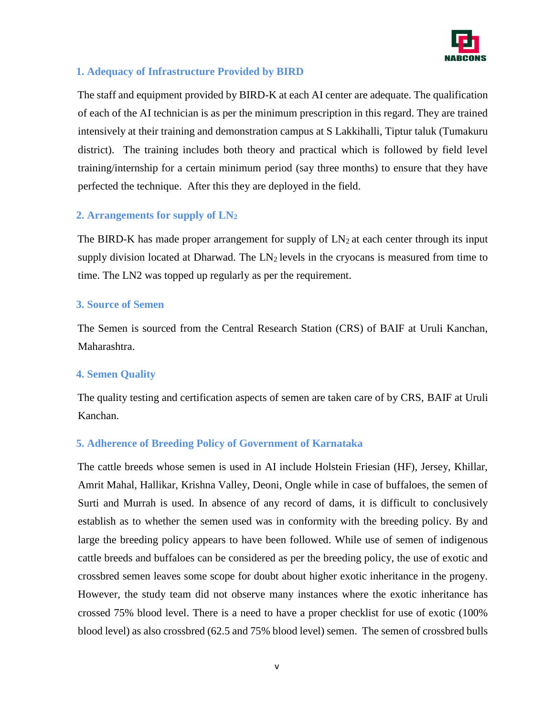

## **1. Adequacy of Infrastructure Provided by BIRD**

The staff and equipment provided by BIRD-K at each AI center are adequate. The qualification of each of the AI technician is as per the minimum prescription in this regard. They are trained intensively at their training and demonstration campus at S Lakkihalli, Tiptur taluk (Tumakuru district). The training includes both theory and practical which is followed by field level training/internship for a certain minimum period (say three months) to ensure that they have perfected the technique. After this they are deployed in the field.

## **2. Arrangements for supply of LN<sup>2</sup>**

The BIRD-K has made proper arrangement for supply of  $LN_2$  at each center through its input supply division located at Dharwad. The  $LN<sub>2</sub>$  levels in the cryocans is measured from time to time. The LN2 was topped up regularly as per the requirement.

## **3. Source of Semen**

The Semen is sourced from the Central Research Station (CRS) of BAIF at Uruli Kanchan, Maharashtra.

## **4. Semen Quality**

The quality testing and certification aspects of semen are taken care of by CRS, BAIF at Uruli Kanchan.

## **5. Adherence of Breeding Policy of Government of Karnataka**

The cattle breeds whose semen is used in AI include Holstein Friesian (HF), Jersey, Khillar, Amrit Mahal, Hallikar, Krishna Valley, Deoni, Ongle while in case of buffaloes, the semen of Surti and Murrah is used. In absence of any record of dams, it is difficult to conclusively establish as to whether the semen used was in conformity with the breeding policy. By and large the breeding policy appears to have been followed. While use of semen of indigenous cattle breeds and buffaloes can be considered as per the breeding policy, the use of exotic and crossbred semen leaves some scope for doubt about higher exotic inheritance in the progeny. However, the study team did not observe many instances where the exotic inheritance has crossed 75% blood level. There is a need to have a proper checklist for use of exotic (100% blood level) as also crossbred (62.5 and 75% blood level) semen. The semen of crossbred bulls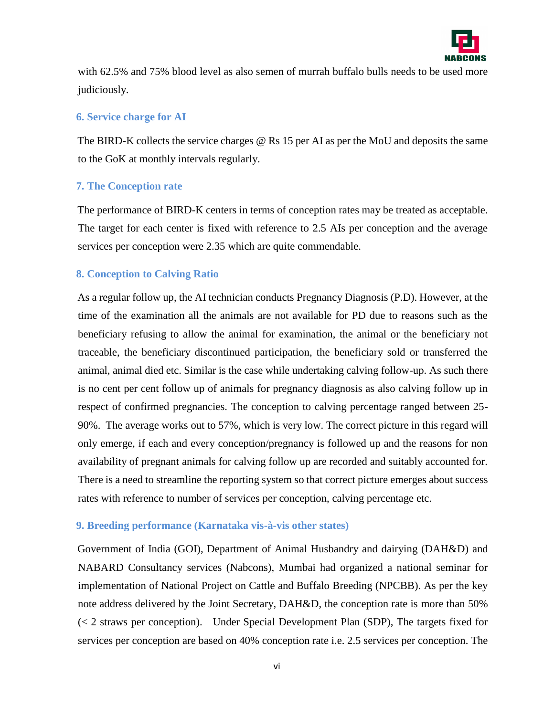

with 62.5% and 75% blood level as also semen of murrah buffalo bulls needs to be used more judiciously.

#### **6. Service charge for AI**

The BIRD-K collects the service charges @ Rs 15 per AI as per the MoU and deposits the same to the GoK at monthly intervals regularly.

## **7. The Conception rate**

The performance of BIRD-K centers in terms of conception rates may be treated as acceptable. The target for each center is fixed with reference to 2.5 AIs per conception and the average services per conception were 2.35 which are quite commendable.

## **8. Conception to Calving Ratio**

As a regular follow up, the AI technician conducts Pregnancy Diagnosis (P.D). However, at the time of the examination all the animals are not available for PD due to reasons such as the beneficiary refusing to allow the animal for examination, the animal or the beneficiary not traceable, the beneficiary discontinued participation, the beneficiary sold or transferred the animal, animal died etc. Similar is the case while undertaking calving follow-up. As such there is no cent per cent follow up of animals for pregnancy diagnosis as also calving follow up in respect of confirmed pregnancies. The conception to calving percentage ranged between 25- 90%. The average works out to 57%, which is very low. The correct picture in this regard will only emerge, if each and every conception/pregnancy is followed up and the reasons for non availability of pregnant animals for calving follow up are recorded and suitably accounted for. There is a need to streamline the reporting system so that correct picture emerges about success rates with reference to number of services per conception, calving percentage etc.

## **9. Breeding performance (Karnataka vis-à-vis other states)**

Government of India (GOI), Department of Animal Husbandry and dairying (DAH&D) and NABARD Consultancy services (Nabcons), Mumbai had organized a national seminar for implementation of National Project on Cattle and Buffalo Breeding (NPCBB). As per the key note address delivered by the Joint Secretary, DAH&D, the conception rate is more than 50% (< 2 straws per conception). Under Special Development Plan (SDP), The targets fixed for services per conception are based on 40% conception rate i.e. 2.5 services per conception. The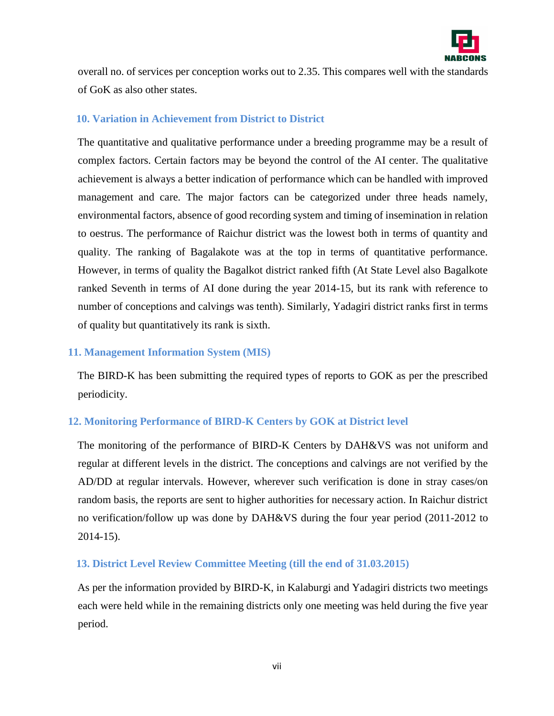

overall no. of services per conception works out to 2.35. This compares well with the standards of GoK as also other states.

## **10. Variation in Achievement from District to District**

The quantitative and qualitative performance under a breeding programme may be a result of complex factors. Certain factors may be beyond the control of the AI center. The qualitative achievement is always a better indication of performance which can be handled with improved management and care. The major factors can be categorized under three heads namely, environmental factors, absence of good recording system and timing of insemination in relation to oestrus. The performance of Raichur district was the lowest both in terms of quantity and quality. The ranking of Bagalakote was at the top in terms of quantitative performance. However, in terms of quality the Bagalkot district ranked fifth (At State Level also Bagalkote ranked Seventh in terms of AI done during the year 2014-15, but its rank with reference to number of conceptions and calvings was tenth). Similarly, Yadagiri district ranks first in terms of quality but quantitatively its rank is sixth.

### **11. Management Information System (MIS)**

The BIRD-K has been submitting the required types of reports to GOK as per the prescribed periodicity.

## **12. Monitoring Performance of BIRD-K Centers by GOK at District level**

The monitoring of the performance of BIRD-K Centers by DAH&VS was not uniform and regular at different levels in the district. The conceptions and calvings are not verified by the AD/DD at regular intervals. However, wherever such verification is done in stray cases/on random basis, the reports are sent to higher authorities for necessary action. In Raichur district no verification/follow up was done by DAH&VS during the four year period (2011-2012 to 2014-15).

#### **13. District Level Review Committee Meeting (till the end of 31.03.2015)**

As per the information provided by BIRD-K, in Kalaburgi and Yadagiri districts two meetings each were held while in the remaining districts only one meeting was held during the five year period.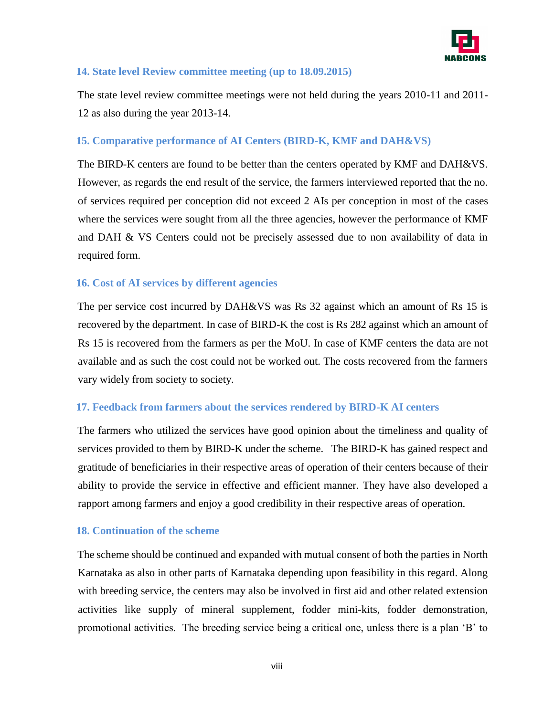

## **14. State level Review committee meeting (up to 18.09.2015)**

The state level review committee meetings were not held during the years 2010-11 and 2011- 12 as also during the year 2013-14.

## **15. Comparative performance of AI Centers (BIRD-K, KMF and DAH&VS)**

The BIRD-K centers are found to be better than the centers operated by KMF and DAH&VS. However, as regards the end result of the service, the farmers interviewed reported that the no. of services required per conception did not exceed 2 AIs per conception in most of the cases where the services were sought from all the three agencies, however the performance of KMF and DAH & VS Centers could not be precisely assessed due to non availability of data in required form.

## **16. Cost of AI services by different agencies**

The per service cost incurred by DAH&VS was Rs 32 against which an amount of Rs 15 is recovered by the department. In case of BIRD-K the cost is Rs 282 against which an amount of Rs 15 is recovered from the farmers as per the MoU. In case of KMF centers the data are not available and as such the cost could not be worked out. The costs recovered from the farmers vary widely from society to society.

## **17. Feedback from farmers about the services rendered by BIRD-K AI centers**

The farmers who utilized the services have good opinion about the timeliness and quality of services provided to them by BIRD-K under the scheme. The BIRD-K has gained respect and gratitude of beneficiaries in their respective areas of operation of their centers because of their ability to provide the service in effective and efficient manner. They have also developed a rapport among farmers and enjoy a good credibility in their respective areas of operation.

## **18. Continuation of the scheme**

The scheme should be continued and expanded with mutual consent of both the parties in North Karnataka as also in other parts of Karnataka depending upon feasibility in this regard. Along with breeding service, the centers may also be involved in first aid and other related extension activities like supply of mineral supplement, fodder mini-kits, fodder demonstration, promotional activities. The breeding service being a critical one, unless there is a plan 'B' to